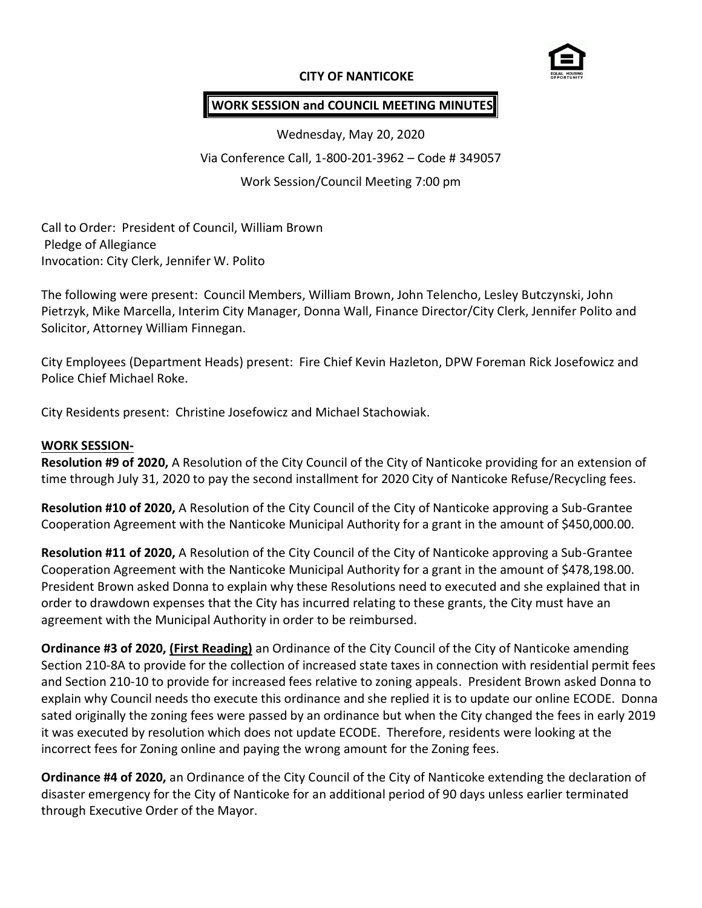### **CITY OF NANTICOKE**



# **WORK SESSION and COUNCIL MEETING MINUTES**

Wednesday, May 20, 2020 Via Conference Call, 1-800-201-3962 – Code # 349057 Work Session/Council Meeting 7:00 pm

Call to Order: President of Council, William Brown Pledge of Allegiance Invocation: City Clerk, Jennifer W. Polito

The following were present: Council Members, William Brown, John Telencho, Lesley Butczynski, John Pietrzyk, Mike Marcella, Interim City Manager, Donna Wall, Finance Director/City Clerk, Jennifer Polito and Solicitor, Attorney William Finnegan.

City Employees (Department Heads) present: Fire Chief Kevin Hazleton, DPW Foreman Rick Josefowicz and Police Chief Michael Roke.

City Residents present: Christine Josefowicz and Michael Stachowiak.

#### **WORK SESSION-**

**Resolution #9 of 2020,** A Resolution of the City Council of the City of Nanticoke providing for an extension of time through July 31, 2020 to pay the second installment for 2020 City of Nanticoke Refuse/Recycling fees.

**Resolution #10 of 2020,** A Resolution of the City Council of the City of Nanticoke approving a Sub-Grantee Cooperation Agreement with the Nanticoke Municipal Authority for a grant in the amount of \$450,000.00.

**Resolution #11 of 2020,** A Resolution of the City Council of the City of Nanticoke approving a Sub-Grantee Cooperation Agreement with the Nanticoke Municipal Authority for a grant in the amount of \$478,198.00. President Brown asked Donna to explain why these Resolutions need to executed and she explained that in order to drawdown expenses that the City has incurred relating to these grants, the City must have an agreement with the Municipal Authority in order to be reimbursed.

**Ordinance #3 of 2020, (First Reading)** an Ordinance of the City Council of the City of Nanticoke amending Section 210-8A to provide for the collection of increased state taxes in connection with residential permit fees and Section 210-10 to provide for increased fees relative to zoning appeals. President Brown asked Donna to explain why Council needs tho execute this ordinance and she replied it is to update our online ECODE. Donna sated originally the zoning fees were passed by an ordinance but when the City changed the fees in early 2019 it was executed by resolution which does not update ECODE. Therefore, residents were looking at the incorrect fees for Zoning online and paying the wrong amount for the Zoning fees.

**Ordinance #4 of 2020,** an Ordinance of the City Council of the City of Nanticoke extending the declaration of disaster emergency for the City of Nanticoke for an additional period of 90 days unless earlier terminated through Executive Order of the Mayor.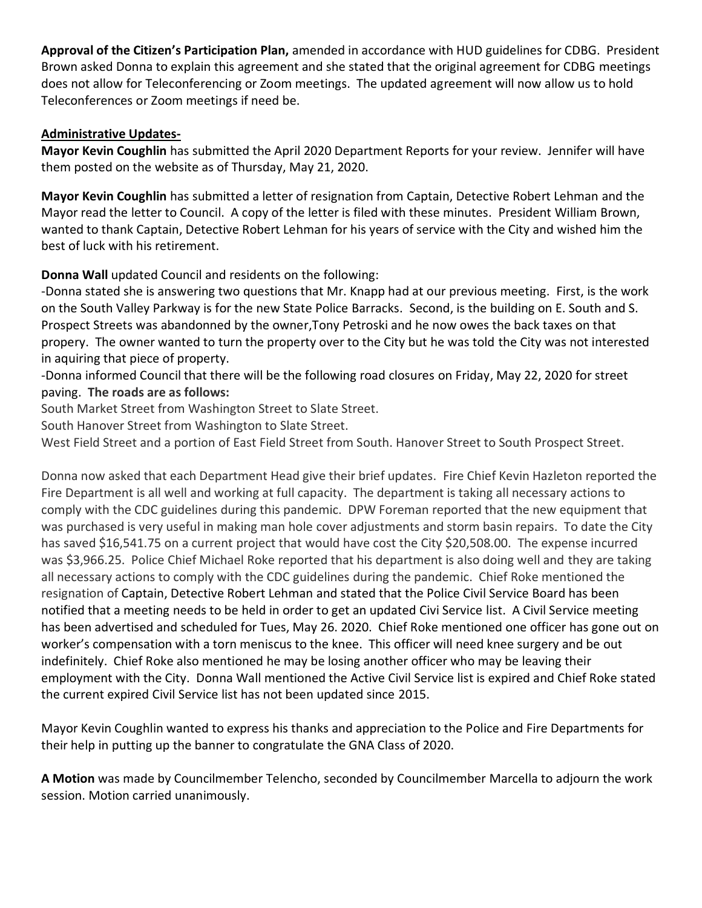**Approval of the Citizen's Participation Plan,** amended in accordance with HUD guidelines for CDBG. President Brown asked Donna to explain this agreement and she stated that the original agreement for CDBG meetings does not allow for Teleconferencing or Zoom meetings. The updated agreement will now allow us to hold Teleconferences or Zoom meetings if need be.

# **Administrative Updates-**

**Mayor Kevin Coughlin** has submitted the April 2020 Department Reports for your review. Jennifer will have them posted on the website as of Thursday, May 21, 2020.

**Mayor Kevin Coughlin** has submitted a letter of resignation from Captain, Detective Robert Lehman and the Mayor read the letter to Council. A copy of the letter is filed with these minutes. President William Brown, wanted to thank Captain, Detective Robert Lehman for his years of service with the City and wished him the best of luck with his retirement.

**Donna Wall** updated Council and residents on the following:

-Donna stated she is answering two questions that Mr. Knapp had at our previous meeting. First, is the work on the South Valley Parkway is for the new State Police Barracks. Second, is the building on E. South and S. Prospect Streets was abandonned by the owner,Tony Petroski and he now owes the back taxes on that propery. The owner wanted to turn the property over to the City but he was told the City was not interested in aquiring that piece of property.

-Donna informed Council that there will be the following road closures on Friday, May 22, 2020 for street paving. **The roads are as follows:**

South Market Street from Washington Street to Slate Street.

South Hanover Street from Washington to Slate Street.

West Field Street and a portion of East Field Street from South. Hanover Street to South Prospect Street.

Donna now asked that each Department Head give their brief updates. Fire Chief Kevin Hazleton reported the Fire Department is all well and working at full capacity. The department is taking all necessary actions to comply with the CDC guidelines during this pandemic. DPW Foreman reported that the new equipment that was purchased is very useful in making man hole cover adjustments and storm basin repairs. To date the City has saved \$16,541.75 on a current project that would have cost the City \$20,508.00. The expense incurred was \$3,966.25. Police Chief Michael Roke reported that his department is also doing well and they are taking all necessary actions to comply with the CDC guidelines during the pandemic. Chief Roke mentioned the resignation of Captain, Detective Robert Lehman and stated that the Police Civil Service Board has been notified that a meeting needs to be held in order to get an updated Civi Service list. A Civil Service meeting has been advertised and scheduled for Tues, May 26. 2020. Chief Roke mentioned one officer has gone out on worker's compensation with a torn meniscus to the knee. This officer will need knee surgery and be out indefinitely. Chief Roke also mentioned he may be losing another officer who may be leaving their employment with the City. Donna Wall mentioned the Active Civil Service list is expired and Chief Roke stated the current expired Civil Service list has not been updated since 2015.

Mayor Kevin Coughlin wanted to express his thanks and appreciation to the Police and Fire Departments for their help in putting up the banner to congratulate the GNA Class of 2020.

**A Motion** was made by Councilmember Telencho, seconded by Councilmember Marcella to adjourn the work session. Motion carried unanimously.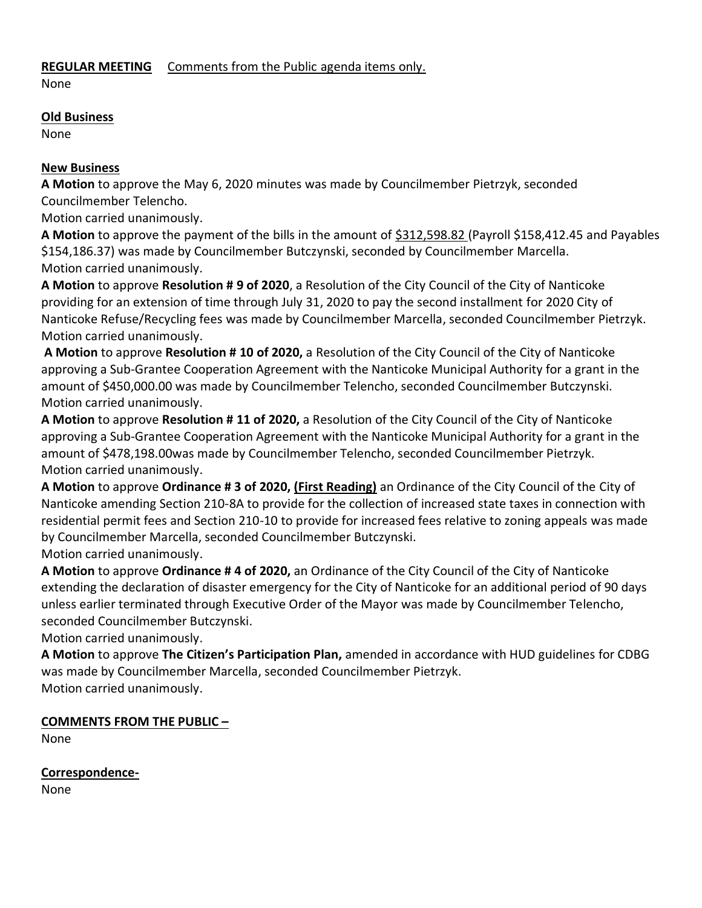# **REGULAR MEETING** Comments from the Public agenda items only.

None

# **Old Business**

None

# **New Business**

**A Motion** to approve the May 6, 2020 minutes was made by Councilmember Pietrzyk, seconded Councilmember Telencho.

Motion carried unanimously.

**A Motion** to approve the payment of the bills in the amount of \$312,598.82 (Payroll \$158,412.45 and Payables \$154,186.37) was made by Councilmember Butczynski, seconded by Councilmember Marcella. Motion carried unanimously.

**A Motion** to approve **Resolution # 9 of 2020**, a Resolution of the City Council of the City of Nanticoke providing for an extension of time through July 31, 2020 to pay the second installment for 2020 City of Nanticoke Refuse/Recycling fees was made by Councilmember Marcella, seconded Councilmember Pietrzyk. Motion carried unanimously.

**A Motion** to approve **Resolution # 10 of 2020,** a Resolution of the City Council of the City of Nanticoke approving a Sub-Grantee Cooperation Agreement with the Nanticoke Municipal Authority for a grant in the amount of \$450,000.00 was made by Councilmember Telencho, seconded Councilmember Butczynski. Motion carried unanimously.

**A Motion** to approve **Resolution # 11 of 2020,** a Resolution of the City Council of the City of Nanticoke approving a Sub-Grantee Cooperation Agreement with the Nanticoke Municipal Authority for a grant in the amount of \$478,198.00was made by Councilmember Telencho, seconded Councilmember Pietrzyk. Motion carried unanimously.

**A Motion** to approve **Ordinance # 3 of 2020, (First Reading)** an Ordinance of the City Council of the City of Nanticoke amending Section 210-8A to provide for the collection of increased state taxes in connection with residential permit fees and Section 210-10 to provide for increased fees relative to zoning appeals was made by Councilmember Marcella, seconded Councilmember Butczynski.

Motion carried unanimously.

**A Motion** to approve **Ordinance # 4 of 2020,** an Ordinance of the City Council of the City of Nanticoke extending the declaration of disaster emergency for the City of Nanticoke for an additional period of 90 days unless earlier terminated through Executive Order of the Mayor was made by Councilmember Telencho, seconded Councilmember Butczynski.

Motion carried unanimously.

**A Motion** to approve **The Citizen's Participation Plan,** amended in accordance with HUD guidelines for CDBG was made by Councilmember Marcella, seconded Councilmember Pietrzyk. Motion carried unanimously.

# **COMMENTS FROM THE PUBLIC –**

None

**Correspondence-**

None